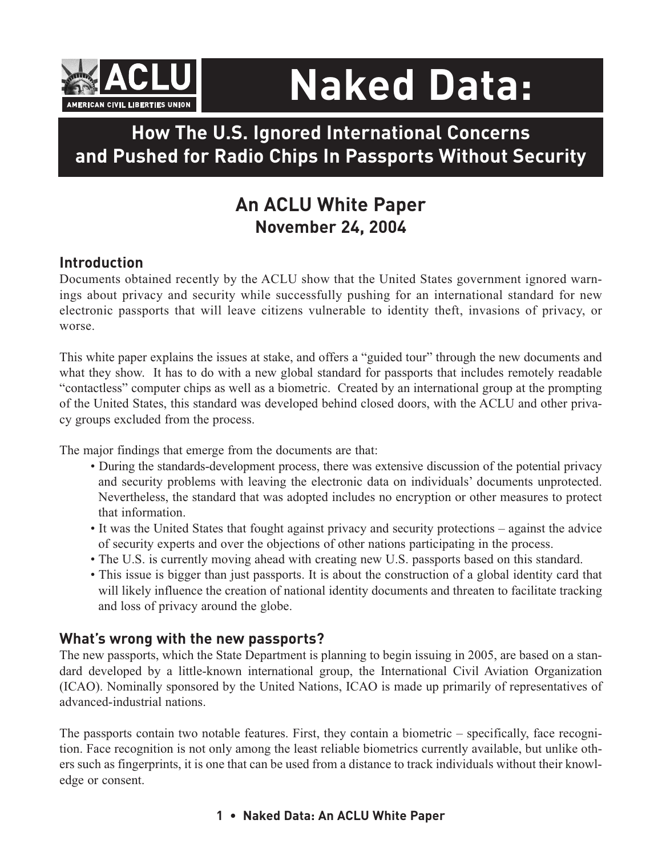

# **Naked Data:**

# **How The U.S. Ignored International Concerns and Pushed for Radio Chips In Passports Without Security**

# **An ACLU White Paper November 24, 2004**

## **Introduction**

Documents obtained recently by the ACLU show that the United States government ignored warnings about privacy and security while successfully pushing for an international standard for new electronic passports that will leave citizens vulnerable to identity theft, invasions of privacy, or worse.

This white paper explains the issues at stake, and offers a "guided tour" through the new documents and what they show. It has to do with a new global standard for passports that includes remotely readable "contactless" computer chips as well as a biometric. Created by an international group at the prompting of the United States, this standard was developed behind closed doors, with the ACLU and other privacy groups excluded from the process.

The major findings that emerge from the documents are that:

- During the standards-development process, there was extensive discussion of the potential privacy and security problems with leaving the electronic data on individuals' documents unprotected. Nevertheless, the standard that was adopted includes no encryption or other measures to protect that information.
- It was the United States that fought against privacy and security protections against the advice of security experts and over the objections of other nations participating in the process.
- The U.S. is currently moving ahead with creating new U.S. passports based on this standard.
- This issue is bigger than just passports. It is about the construction of a global identity card that will likely influence the creation of national identity documents and threaten to facilitate tracking and loss of privacy around the globe.

#### **What's wrong with the new passports?**

The new passports, which the State Department is planning to begin issuing in 2005, are based on a standard developed by a little-known international group, the International Civil Aviation Organization (ICAO). Nominally sponsored by the United Nations, ICAO is made up primarily of representatives of advanced-industrial nations.

The passports contain two notable features. First, they contain a biometric – specifically, face recognition. Face recognition is not only among the least reliable biometrics currently available, but unlike others such as fingerprints, it is one that can be used from a distance to track individuals without their knowledge or consent.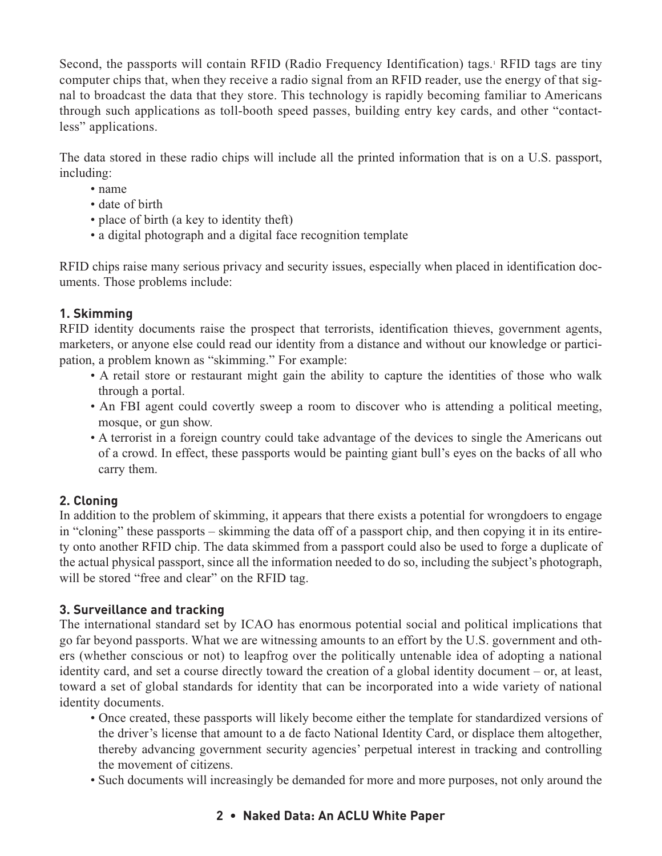Second, the passports will contain RFID (Radio Frequency Identification) tags.<sup>1</sup> RFID tags are tiny computer chips that, when they receive a radio signal from an RFID reader, use the energy of that signal to broadcast the data that they store. This technology is rapidly becoming familiar to Americans through such applications as toll-booth speed passes, building entry key cards, and other "contactless" applications.

The data stored in these radio chips will include all the printed information that is on a U.S. passport, including:

- name
- date of birth
- place of birth (a key to identity theft)
- a digital photograph and a digital face recognition template

RFID chips raise many serious privacy and security issues, especially when placed in identification documents. Those problems include:

#### **1. Skimming**

RFID identity documents raise the prospect that terrorists, identification thieves, government agents, marketers, or anyone else could read our identity from a distance and without our knowledge or participation, a problem known as "skimming." For example:

- A retail store or restaurant might gain the ability to capture the identities of those who walk through a portal.
- An FBI agent could covertly sweep a room to discover who is attending a political meeting, mosque, or gun show.
- A terrorist in a foreign country could take advantage of the devices to single the Americans out of a crowd. In effect, these passports would be painting giant bull's eyes on the backs of all who carry them.

#### **2. Cloning**

In addition to the problem of skimming, it appears that there exists a potential for wrongdoers to engage in "cloning" these passports – skimming the data off of a passport chip, and then copying it in its entirety onto another RFID chip. The data skimmed from a passport could also be used to forge a duplicate of the actual physical passport, since all the information needed to do so, including the subject's photograph, will be stored "free and clear" on the RFID tag.

#### **3. Surveillance and tracking**

The international standard set by ICAO has enormous potential social and political implications that go far beyond passports. What we are witnessing amounts to an effort by the U.S. government and others (whether conscious or not) to leapfrog over the politically untenable idea of adopting a national identity card, and set a course directly toward the creation of a global identity document – or, at least, toward a set of global standards for identity that can be incorporated into a wide variety of national identity documents.

- Once created, these passports will likely become either the template for standardized versions of the driver's license that amount to a de facto National Identity Card, or displace them altogether, thereby advancing government security agencies' perpetual interest in tracking and controlling the movement of citizens.
- Such documents will increasingly be demanded for more and more purposes, not only around the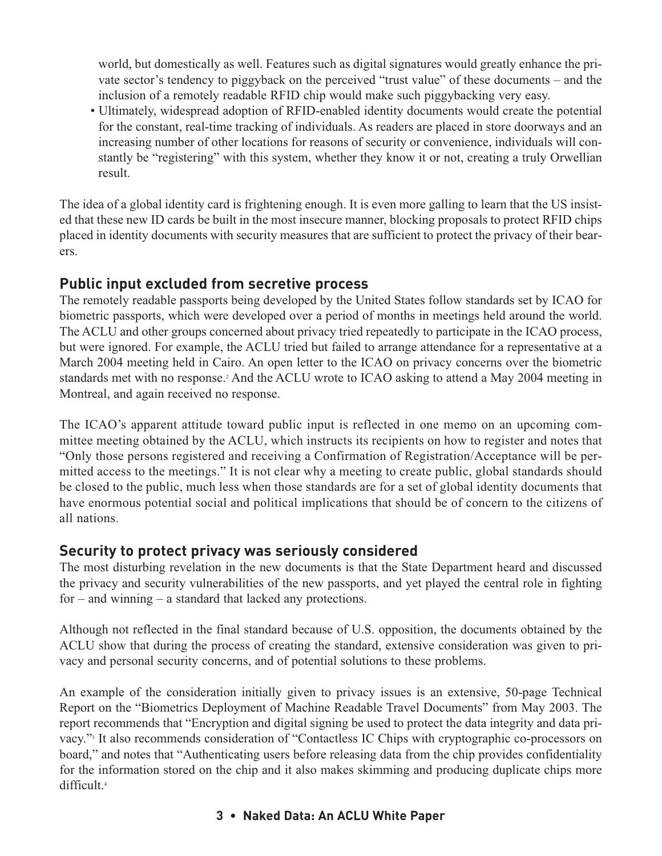world, but domestically as well. Features such as digital signatures would greatly enhance the private sector's tendency to piggyback on the perceived "trust value" of these documents – and the inclusion of a remotely readable RFID chip would make such piggybacking very easy.

• Ultimately, widespread adoption of RFID-enabled identity documents would create the potential for the constant, real-time tracking of individuals. As readers are placed in store doorways and an increasing number of other locations for reasons of security or convenience, individuals will constantly be "registering" with this system, whether they know it or not, creating a truly Orwellian result.

The idea of a global identity card is frightening enough. It is even more galling to learn that the US insisted that these new ID cards be built in the most insecure manner, blocking proposals to protect RFID chips placed in identity documents with security measures that are sufficient to protect the privacy of their bearers.

### **Public input excluded from secretive process**

The remotely readable passports being developed by the United States follow standards set by ICAO for biometric passports, which were developed over a period of months in meetings held around the world. The ACLU and other groups concerned about privacy tried repeatedly to participate in the ICAO process, but were ignored. For example, the ACLU tried but failed to arrange attendance for a representative at a March 2004 meeting held in Cairo. An open letter to the ICAO on privacy concerns over the biometric standards met with no response.<sup>2</sup> And the ACLU wrote to ICAO asking to attend a May 2004 meeting in Montreal, and again received no response.

The ICAO's apparent attitude toward public input is reflected in one memo on an upcoming committee meeting obtained by the ACLU, which instructs its recipients on how to register and notes that "Only those persons registered and receiving a Confirmation of Registration/Acceptance will be permitted access to the meetings." It is not clear why a meeting to create public, global standards should be closed to the public, much less when those standards are for a set of global identity documents that have enormous potential social and political implications that should be of concern to the citizens of all nations.

#### **Security to protect privacy was seriously considered**

The most disturbing revelation in the new documents is that the State Department heard and discussed the privacy and security vulnerabilities of the new passports, and yet played the central role in fighting for – and winning – a standard that lacked any protections.

Although not reflected in the final standard because of U.S. opposition, the documents obtained by the ACLU show that during the process of creating the standard, extensive consideration was given to privacy and personal security concerns, and of potential solutions to these problems.

An example of the consideration initially given to privacy issues is an extensive, 50-page Technical Report on the "Biometrics Deployment of Machine Readable Travel Documents" from May 2003. The report recommends that "Encryption and digital signing be used to protect the data integrity and data privacy."3 It also recommends consideration of "Contactless IC Chips with cryptographic co-processors on board," and notes that "Authenticating users before releasing data from the chip provides confidentiality for the information stored on the chip and it also makes skimming and producing duplicate chips more difficult.4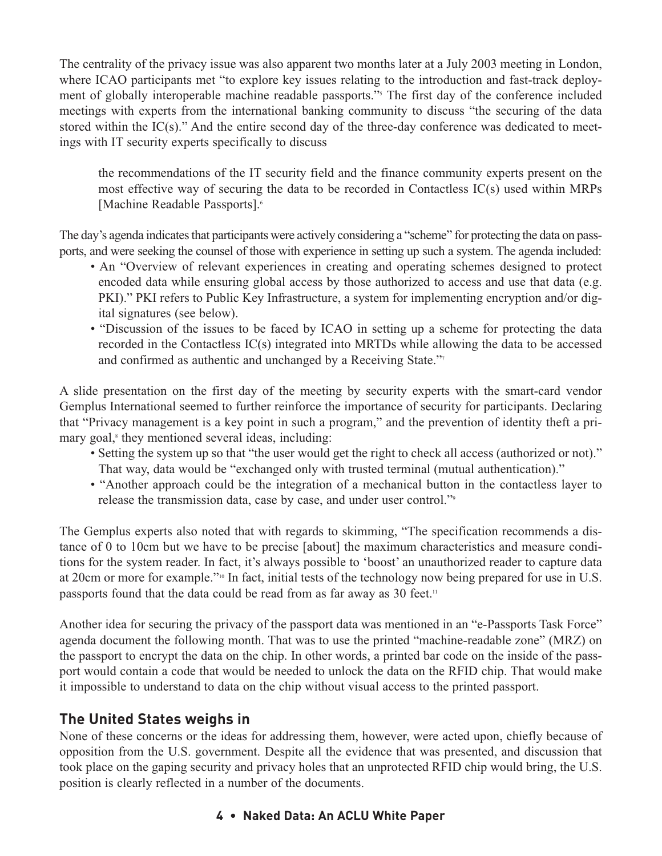The centrality of the privacy issue was also apparent two months later at a July 2003 meeting in London, where ICAO participants met "to explore key issues relating to the introduction and fast-track deployment of globally interoperable machine readable passports."<sup>5</sup> The first day of the conference included meetings with experts from the international banking community to discuss "the securing of the data stored within the IC(s)." And the entire second day of the three-day conference was dedicated to meetings with IT security experts specifically to discuss

the recommendations of the IT security field and the finance community experts present on the most effective way of securing the data to be recorded in Contactless IC(s) used within MRPs [Machine Readable Passports].<sup>6</sup>

The day's agenda indicates that participants were actively considering a "scheme" for protecting the data on passports, and were seeking the counsel of those with experience in setting up such a system. The agenda included:

- An "Overview of relevant experiences in creating and operating schemes designed to protect encoded data while ensuring global access by those authorized to access and use that data (e.g. PKI)." PKI refers to Public Key Infrastructure, a system for implementing encryption and/or digital signatures (see below).
- "Discussion of the issues to be faced by ICAO in setting up a scheme for protecting the data recorded in the Contactless IC(s) integrated into MRTDs while allowing the data to be accessed and confirmed as authentic and unchanged by a Receiving State."<sup>7</sup>

A slide presentation on the first day of the meeting by security experts with the smart-card vendor Gemplus International seemed to further reinforce the importance of security for participants. Declaring that "Privacy management is a key point in such a program," and the prevention of identity theft a primary goal, $\epsilon$  they mentioned several ideas, including:

- Setting the system up so that "the user would get the right to check all access (authorized or not)." That way, data would be "exchanged only with trusted terminal (mutual authentication)."
- "Another approach could be the integration of a mechanical button in the contactless layer to release the transmission data, case by case, and under user control."9

The Gemplus experts also noted that with regards to skimming, "The specification recommends a distance of 0 to 10cm but we have to be precise [about] the maximum characteristics and measure conditions for the system reader. In fact, it's always possible to 'boost' an unauthorized reader to capture data at 20cm or more for example."10 In fact, initial tests of the technology now being prepared for use in U.S. passports found that the data could be read from as far away as 30 feet.<sup>11</sup>

Another idea for securing the privacy of the passport data was mentioned in an "e-Passports Task Force" agenda document the following month. That was to use the printed "machine-readable zone" (MRZ) on the passport to encrypt the data on the chip. In other words, a printed bar code on the inside of the passport would contain a code that would be needed to unlock the data on the RFID chip. That would make it impossible to understand to data on the chip without visual access to the printed passport.

#### **The United States weighs in**

None of these concerns or the ideas for addressing them, however, were acted upon, chiefly because of opposition from the U.S. government. Despite all the evidence that was presented, and discussion that took place on the gaping security and privacy holes that an unprotected RFID chip would bring, the U.S. position is clearly reflected in a number of the documents.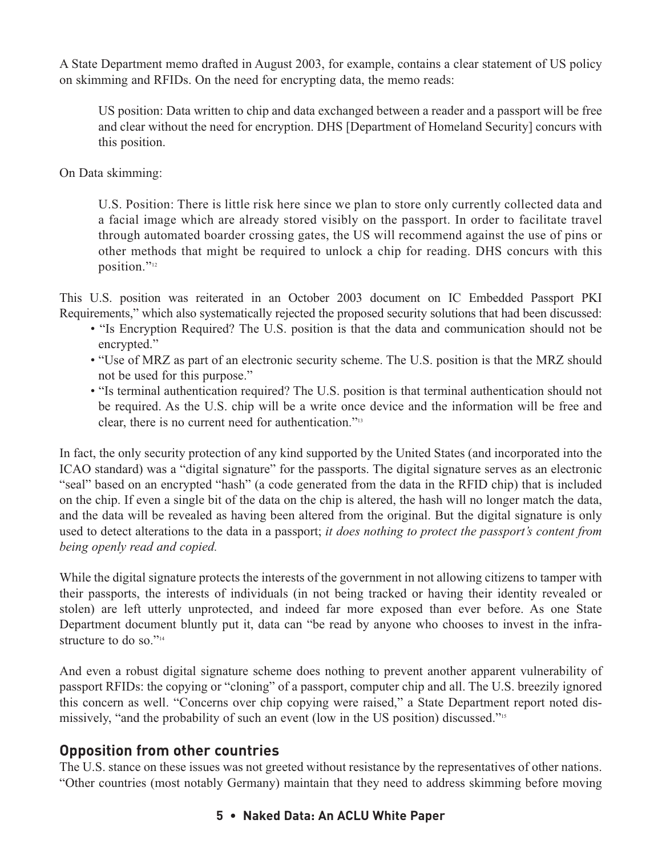A State Department memo drafted in August 2003, for example, contains a clear statement of US policy on skimming and RFIDs. On the need for encrypting data, the memo reads:

US position: Data written to chip and data exchanged between a reader and a passport will be free and clear without the need for encryption. DHS [Department of Homeland Security] concurs with this position.

On Data skimming:

U.S. Position: There is little risk here since we plan to store only currently collected data and a facial image which are already stored visibly on the passport. In order to facilitate travel through automated boarder crossing gates, the US will recommend against the use of pins or other methods that might be required to unlock a chip for reading. DHS concurs with this position."<sup>12</sup>

This U.S. position was reiterated in an October 2003 document on IC Embedded Passport PKI Requirements," which also systematically rejected the proposed security solutions that had been discussed:

- "Is Encryption Required? The U.S. position is that the data and communication should not be encrypted."
- "Use of MRZ as part of an electronic security scheme. The U.S. position is that the MRZ should not be used for this purpose."
- "Is terminal authentication required? The U.S. position is that terminal authentication should not be required. As the U.S. chip will be a write once device and the information will be free and clear, there is no current need for authentication."13

In fact, the only security protection of any kind supported by the United States (and incorporated into the ICAO standard) was a "digital signature" for the passports. The digital signature serves as an electronic "seal" based on an encrypted "hash" (a code generated from the data in the RFID chip) that is included on the chip. If even a single bit of the data on the chip is altered, the hash will no longer match the data, and the data will be revealed as having been altered from the original. But the digital signature is only used to detect alterations to the data in a passport; *it does nothing to protect the passport's content from being openly read and copied.* 

While the digital signature protects the interests of the government in not allowing citizens to tamper with their passports, the interests of individuals (in not being tracked or having their identity revealed or stolen) are left utterly unprotected, and indeed far more exposed than ever before. As one State Department document bluntly put it, data can "be read by anyone who chooses to invest in the infrastructure to do so."<sup>14</sup>

And even a robust digital signature scheme does nothing to prevent another apparent vulnerability of passport RFIDs: the copying or "cloning" of a passport, computer chip and all. The U.S. breezily ignored this concern as well. "Concerns over chip copying were raised," a State Department report noted dismissively, "and the probability of such an event (low in the US position) discussed."15

## **Opposition from other countries**

The U.S. stance on these issues was not greeted without resistance by the representatives of other nations. "Other countries (most notably Germany) maintain that they need to address skimming before moving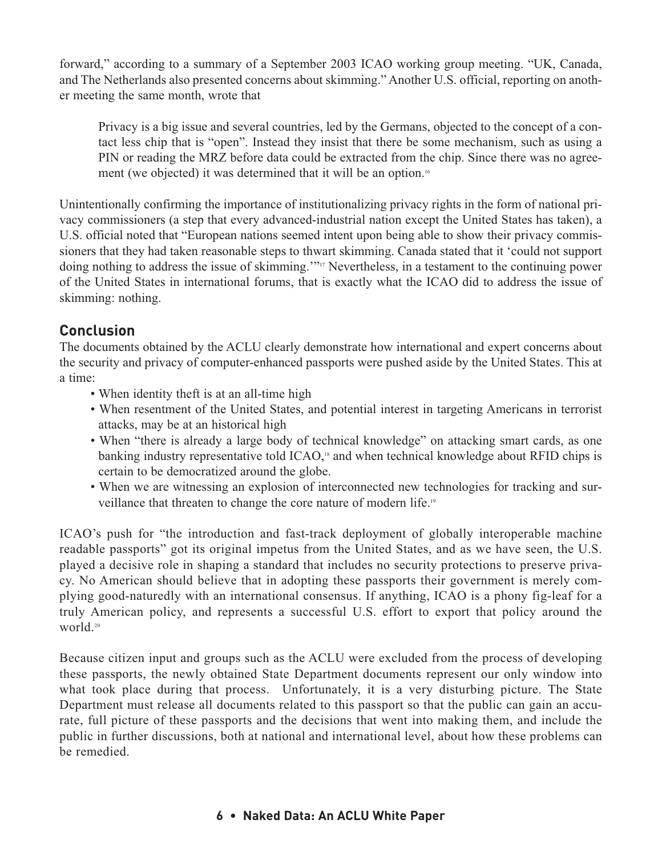forward," according to a summary of a September 2003 ICAO working group meeting. "UK, Canada, and The Netherlands also presented concerns about skimming." Another U.S. official, reporting on another meeting the same month, wrote that

Privacy is a big issue and several countries, led by the Germans, objected to the concept of a contact less chip that is "open". Instead they insist that there be some mechanism, such as using a PIN or reading the MRZ before data could be extracted from the chip. Since there was no agreement (we objected) it was determined that it will be an option.<sup>16</sup>

Unintentionally confirming the importance of institutionalizing privacy rights in the form of national privacy commissioners (a step that every advanced-industrial nation except the United States has taken), a U.S. official noted that "European nations seemed intent upon being able to show their privacy commissioners that they had taken reasonable steps to thwart skimming. Canada stated that it 'could not support doing nothing to address the issue of skimming.'"17 Nevertheless, in a testament to the continuing power of the United States in international forums, that is exactly what the ICAO did to address the issue of skimming: nothing.

## **Conclusion**

The documents obtained by the ACLU clearly demonstrate how international and expert concerns about the security and privacy of computer-enhanced passports were pushed aside by the United States. This at a time:

- When identity theft is at an all-time high
- When resentment of the United States, and potential interest in targeting Americans in terrorist attacks, may be at an historical high
- When "there is already a large body of technical knowledge" on attacking smart cards, as one banking industry representative told ICAO,<sup>18</sup> and when technical knowledge about RFID chips is certain to be democratized around the globe.
- When we are witnessing an explosion of interconnected new technologies for tracking and surveillance that threaten to change the core nature of modern life.19

ICAO's push for "the introduction and fast-track deployment of globally interoperable machine readable passports" got its original impetus from the United States, and as we have seen, the U.S. played a decisive role in shaping a standard that includes no security protections to preserve privacy. No American should believe that in adopting these passports their government is merely complying good-naturedly with an international consensus. If anything, ICAO is a phony fig-leaf for a truly American policy, and represents a successful U.S. effort to export that policy around the world.20

Because citizen input and groups such as the ACLU were excluded from the process of developing these passports, the newly obtained State Department documents represent our only window into what took place during that process. Unfortunately, it is a very disturbing picture. The State Department must release all documents related to this passport so that the public can gain an accurate, full picture of these passports and the decisions that went into making them, and include the public in further discussions, both at national and international level, about how these problems can be remedied.